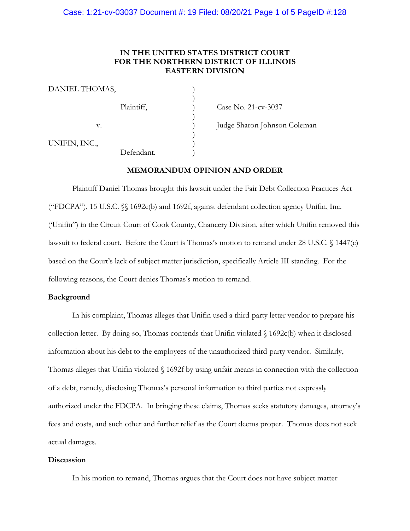### **IN THE UNITED STATES DISTRICT COURT FOR THE NORTHERN DISTRICT OF ILLINOIS EASTERN DIVISION**

| DANIEL THOMAS, |            |  |
|----------------|------------|--|
|                | Plaintiff, |  |
| v.             |            |  |
| UNIFIN, INC.,  | Defendant. |  |

Case No. 21-cv-3037

Judge Sharon Johnson Coleman

### **MEMORANDUM OPINION AND ORDER**

Plaintiff Daniel Thomas brought this lawsuit under the Fair Debt Collection Practices Act ("FDCPA"), 15 U.S.C. §§ 1692c(b) and 1692f, against defendant collection agency Unifin, Inc. ('Unifin") in the Circuit Court of Cook County, Chancery Division, after which Unifin removed this lawsuit to federal court. Before the Court is Thomas's motion to remand under 28 U.S.C. § 1447(c) based on the Court's lack of subject matter jurisdiction, specifically Article III standing. For the following reasons, the Court denies Thomas's motion to remand.

#### **Background**

In his complaint, Thomas alleges that Unifin used a third-party letter vendor to prepare his collection letter. By doing so, Thomas contends that Unifin violated § 1692c(b) when it disclosed information about his debt to the employees of the unauthorized third-party vendor. Similarly, Thomas alleges that Unifin violated § 1692f by using unfair means in connection with the collection of a debt, namely, disclosing Thomas's personal information to third parties not expressly authorized under the FDCPA. In bringing these claims, Thomas seeks statutory damages, attorney's fees and costs, and such other and further relief as the Court deems proper. Thomas does not seek actual damages.

#### **Discussion**

In his motion to remand, Thomas argues that the Court does not have subject matter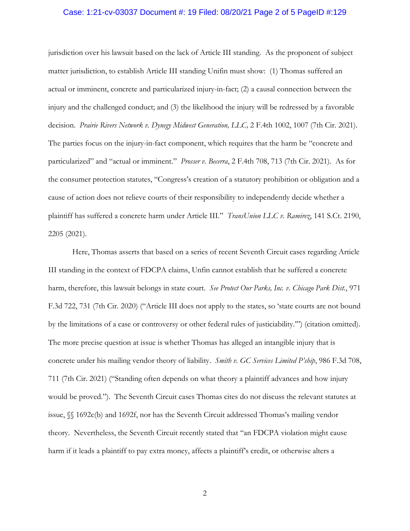#### Case: 1:21-cv-03037 Document #: 19 Filed: 08/20/21 Page 2 of 5 PageID #:129

jurisdiction over his lawsuit based on the lack of Article III standing. As the proponent of subject matter jurisdiction, to establish Article III standing Unifin must show: (1) Thomas suffered an actual or imminent, concrete and particularized injury-in-fact; (2) a causal connection between the injury and the challenged conduct; and (3) the likelihood the injury will be redressed by a favorable decision. *Prairie Rivers Network v. Dynegy Midwest Generation, LLC,* 2 F.4th 1002, 1007 (7th Cir. 2021). The parties focus on the injury-in-fact component, which requires that the harm be "concrete and particularized" and "actual or imminent." *Prosser v. Becerra*, 2 F.4th 708, 713 (7th Cir. 2021). As for the consumer protection statutes, "Congress's creation of a statutory prohibition or obligation and a cause of action does not relieve courts of their responsibility to independently decide whether a plaintiff has suffered a concrete harm under Article III." *TransUnion LLC v. Ramirez*, 141 S.Ct. 2190, 2205 (2021).

Here, Thomas asserts that based on a series of recent Seventh Circuit cases regarding Article III standing in the context of FDCPA claims, Unfin cannot establish that he suffered a concrete harm, therefore, this lawsuit belongs in state court. *See Protect Our Parks, Inc. v. Chicago Park Dist.*, 971 F.3d 722, 731 (7th Cir. 2020) ("Article III does not apply to the states, so 'state courts are not bound by the limitations of a case or controversy or other federal rules of justiciability.'") (citation omitted). The more precise question at issue is whether Thomas has alleged an intangible injury that is concrete under his mailing vendor theory of liability. *Smith v. GC Services Limited P'ship*, 986 F.3d 708, 711 (7th Cir. 2021) ("Standing often depends on what theory a plaintiff advances and how injury would be proved."). The Seventh Circuit cases Thomas cites do not discuss the relevant statutes at issue, §§ 1692c(b) and 1692f, nor has the Seventh Circuit addressed Thomas's mailing vendor theory. Nevertheless, the Seventh Circuit recently stated that "an FDCPA violation might cause harm if it leads a plaintiff to pay extra money, affects a plaintiff's credit, or otherwise alters a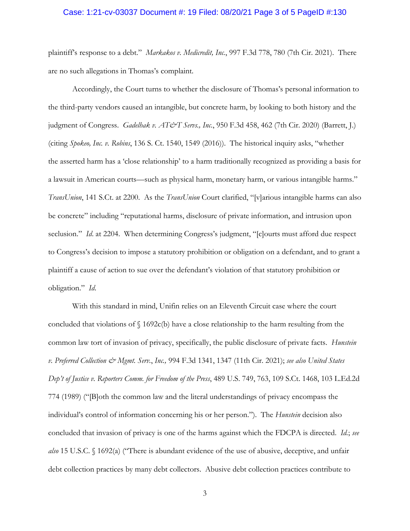#### Case: 1:21-cv-03037 Document #: 19 Filed: 08/20/21 Page 3 of 5 PageID #:130

plaintiff's response to a debt." *Markakos v. Medicredit, Inc.*, 997 F.3d 778, 780 (7th Cir. 2021). There are no such allegations in Thomas's complaint.

Accordingly, the Court turns to whether the disclosure of Thomas's personal information to the third-party vendors caused an intangible, but concrete harm, by looking to both history and the judgment of Congress. *Gadelhak v. AT&T Servs., Inc.*, 950 F.3d 458, 462 (7th Cir. 2020) (Barrett, J.) (citing *Spokeo, Inc. v. Robins*, 136 S. Ct. 1540, 1549 (2016)). The historical inquiry asks, "whether the asserted harm has a 'close relationship' to a harm traditionally recognized as providing a basis for a lawsuit in American courts—such as physical harm, monetary harm, or various intangible harms." *TransUnion*, 141 S.Ct. at 2200. As the *TransUnion* Court clarified, "[v]arious intangible harms can also be concrete" including "reputational harms, disclosure of private information, and intrusion upon seclusion." *Id.* at 2204. When determining Congress's judgment, "[c]ourts must afford due respect to Congress's decision to impose a statutory prohibition or obligation on a defendant, and to grant a plaintiff a cause of action to sue over the defendant's violation of that statutory prohibition or obligation." *Id*.

With this standard in mind, Unifin relies on an Eleventh Circuit case where the court concluded that violations of § 1692c(b) have a close relationship to the harm resulting from the common law tort of invasion of privacy, specifically, the public disclosure of private facts. *Hunstein v. Preferred Collection & Mgmt. Serv.*, *Inc.,* 994 F.3d 1341, 1347 (11th Cir. 2021); *see also United States Dep't of Justice v. Reporters Comm. for Freedom of the Press*, 489 U.S. 749, 763, 109 S.Ct. 1468, 103 L.Ed.2d 774 (1989) ("[B]oth the common law and the literal understandings of privacy encompass the individual's control of information concerning his or her person."). The *Hunstein* decision also concluded that invasion of privacy is one of the harms against which the FDCPA is directed. *Id.*; *see also* 15 U.S.C. § 1692(a) ("There is abundant evidence of the use of abusive, deceptive, and unfair debt collection practices by many debt collectors. Abusive debt collection practices contribute to

3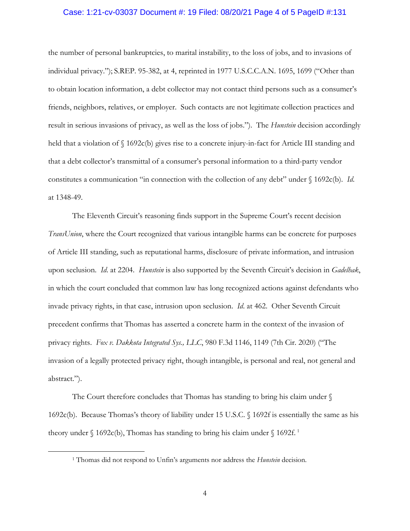#### Case: 1:21-cv-03037 Document #: 19 Filed: 08/20/21 Page 4 of 5 PageID #:131

the number of personal bankruptcies, to marital instability, to the loss of jobs, and to invasions of individual privacy."); S.REP. 95-382, at 4, reprinted in 1977 U.S.C.C.A.N. 1695, 1699 ("Other than to obtain location information, a debt collector may not contact third persons such as a consumer's friends, neighbors, relatives, or employer. Such contacts are not legitimate collection practices and result in serious invasions of privacy, as well as the loss of jobs."). The *Hunstein* decision accordingly held that a violation of §1692c(b) gives rise to a concrete injury-in-fact for Article III standing and that a debt collector's transmittal of a consumer's personal information to a third-party vendor constitutes a communication "in connection with the collection of any debt" under § 1692c(b). *Id*. at 1348-49.

The Eleventh Circuit's reasoning finds support in the Supreme Court's recent decision *TransUnion*, where the Court recognized that various intangible harms can be concrete for purposes of Article III standing, such as reputational harms, disclosure of private information, and intrusion upon seclusion. *Id*. at 2204. *Hunstein* is also supported by the Seventh Circuit's decision in *Gadelhak*, in which the court concluded that common law has long recognized actions against defendants who invade privacy rights, in that case, intrusion upon seclusion. *Id*. at 462. Other Seventh Circuit precedent confirms that Thomas has asserted a concrete harm in the context of the invasion of privacy rights. *Fox v. Dakkota Integrated Sys., LLC*, 980 F.3d 1146, 1149 (7th Cir. 2020) ("The invasion of a legally protected privacy right, though intangible, is personal and real, not general and abstract.").

The Court therefore concludes that Thomas has standing to bring his claim under  $\mathcal S$ 1692c(b). Because Thomas's theory of liability under 15 U.S.C. § 1692f is essentially the same as his theory under § [1](#page-3-0)692c(b), Thomas has standing to bring his claim under § 1692f.<sup>1</sup>

<span id="page-3-0"></span><sup>1</sup> Thomas did not respond to Unfin's arguments nor address the *Hunstein* decision.